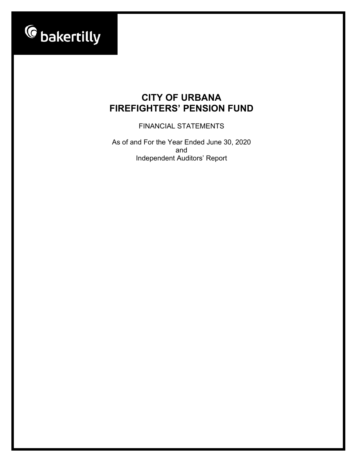

FINANCIAL STATEMENTS

As of and For the Year Ended June 30, 2020 and Independent Auditors' Report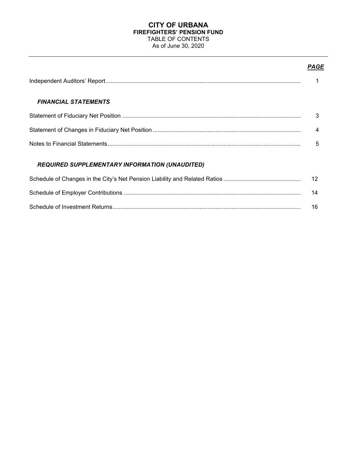### **CITY OF URBANA FIREFIGHTERS' PENSION FUND** TABLE OF CONTENTS As of June 30, 2020

# *PAGE*

| <b>FINANCIAL STATEMENTS</b>                           |    |
|-------------------------------------------------------|----|
|                                                       | 3  |
|                                                       | 4  |
|                                                       | 5  |
| <b>REQUIRED SUPPLEMENTARY INFORMATION (UNAUDITED)</b> |    |
|                                                       | 12 |
|                                                       | 14 |
|                                                       | 16 |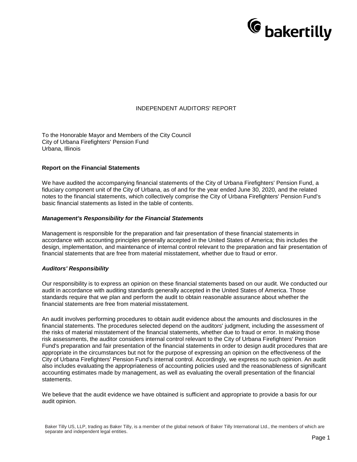

### INDEPENDENT AUDITORS' REPORT

To the Honorable Mayor and Members of the City Council City of Urbana Firefighters' Pension Fund Urbana, Illinois

#### **Report on the Financial Statements**

We have audited the accompanying financial statements of the City of Urbana Firefighters' Pension Fund, a fiduciary component unit of the City of Urbana, as of and for the year ended June 30, 2020, and the related notes to the financial statements, which collectively comprise the City of Urbana Firefighters' Pension Fund's basic financial statements as listed in the table of contents.

#### *Management's Responsibility for the Financial Statements*

Management is responsible for the preparation and fair presentation of these financial statements in accordance with accounting principles generally accepted in the United States of America; this includes the design, implementation, and maintenance of internal control relevant to the preparation and fair presentation of financial statements that are free from material misstatement, whether due to fraud or error.

#### *Auditors' Responsibility*

Our responsibility is to express an opinion on these financial statements based on our audit. We conducted our audit in accordance with auditing standards generally accepted in the United States of America. Those standards require that we plan and perform the audit to obtain reasonable assurance about whether the financial statements are free from material misstatement.

An audit involves performing procedures to obtain audit evidence about the amounts and disclosures in the financial statements. The procedures selected depend on the auditors' judgment, including the assessment of the risks of material misstatement of the financial statements, whether due to fraud or error. In making those risk assessments, the auditor considers internal control relevant to the City of Urbana Firefighters' Pension Fund's preparation and fair presentation of the financial statements in order to design audit procedures that are appropriate in the circumstances but not for the purpose of expressing an opinion on the effectiveness of the City of Urbana Firefighters' Pension Fund's internal control. Accordingly, we express no such opinion. An audit also includes evaluating the appropriateness of accounting policies used and the reasonableness of significant accounting estimates made by management, as well as evaluating the overall presentation of the financial statements.

We believe that the audit evidence we have obtained is sufficient and appropriate to provide a basis for our audit opinion.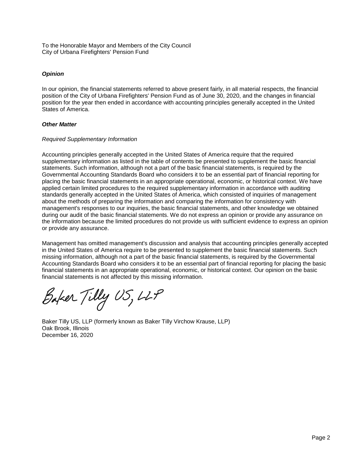To the Honorable Mayor and Members of the City Council City of Urbana Firefighters' Pension Fund

# *Opinion*

In our opinion, the financial statements referred to above present fairly, in all material respects, the financial position of the City of Urbana Firefighters' Pension Fund as of June 30, 2020, and the changes in financial position for the year then ended in accordance with accounting principles generally accepted in the United States of America.

### *Other Matter*

### *Required Supplementary Information*

Accounting principles generally accepted in the United States of America require that the required supplementary information as listed in the table of contents be presented to supplement the basic financial statements. Such information, although not a part of the basic financial statements, is required by the Governmental Accounting Standards Board who considers it to be an essential part of financial reporting for placing the basic financial statements in an appropriate operational, economic, or historical context. We have applied certain limited procedures to the required supplementary information in accordance with auditing standards generally accepted in the United States of America, which consisted of inquiries of management about the methods of preparing the information and comparing the information for consistency with management's responses to our inquiries, the basic financial statements, and other knowledge we obtained during our audit of the basic financial statements. We do not express an opinion or provide any assurance on the information because the limited procedures do not provide us with sufficient evidence to express an opinion or provide any assurance.

Management has omitted management's discussion and analysis that accounting principles generally accepted in the United States of America require to be presented to supplement the basic financial statements. Such missing information, although not a part of the basic financial statements, is required by the Governmental Accounting Standards Board who considers it to be an essential part of financial reporting for placing the basic financial statements in an appropriate operational, economic, or historical context. Our opinion on the basic financial statements is not affected by this missing information.

Baker Tilly US, LLP

Baker Tilly US, LLP (formerly known as Baker Tilly Virchow Krause, LLP) Oak Brook, Illinois December 16, 2020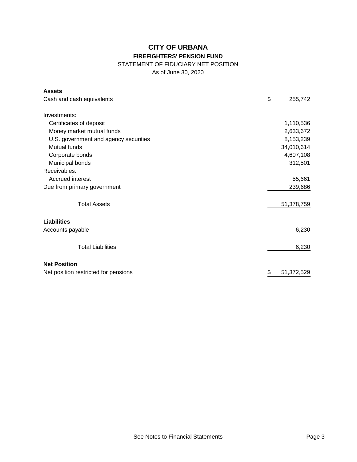# STATEMENT OF FIDUCIARY NET POSITION

As of June 30, 2020

| <b>Assets</b>                         |                  |
|---------------------------------------|------------------|
| Cash and cash equivalents             | \$<br>255,742    |
|                                       |                  |
| Investments:                          |                  |
| Certificates of deposit               | 1,110,536        |
| Money market mutual funds             | 2,633,672        |
| U.S. government and agency securities | 8,153,239        |
| Mutual funds                          | 34,010,614       |
| Corporate bonds                       | 4,607,108        |
| Municipal bonds                       | 312,501          |
| Receivables:                          |                  |
| Accrued interest                      | 55,661           |
| Due from primary government           | 239,686          |
| <b>Total Assets</b>                   | 51,378,759       |
| <b>Liabilities</b>                    |                  |
| Accounts payable                      | 6,230            |
| <b>Total Liabilities</b>              | 6,230            |
| <b>Net Position</b>                   |                  |
| Net position restricted for pensions  | \$<br>51,372,529 |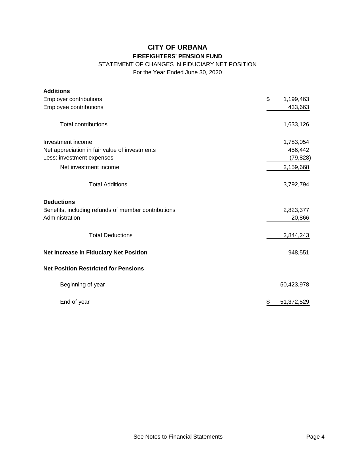# STATEMENT OF CHANGES IN FIDUCIARY NET POSITION

For the Year Ended June 30, 2020

| <b>Additions</b>                                    |                             |
|-----------------------------------------------------|-----------------------------|
| <b>Employer contributions</b>                       | \$<br>1,199,463             |
| Employee contributions                              | 433,663                     |
|                                                     |                             |
| <b>Total contributions</b>                          | 1,633,126                   |
|                                                     |                             |
| Investment income                                   | 1,783,054                   |
| Net appreciation in fair value of investments       | 456,442                     |
| Less: investment expenses                           | (79, 828)                   |
| Net investment income                               | 2,159,668                   |
|                                                     |                             |
| <b>Total Additions</b>                              | 3,792,794                   |
| <b>Deductions</b>                                   |                             |
| Benefits, including refunds of member contributions | 2,823,377                   |
| Administration                                      | 20,866                      |
|                                                     |                             |
| <b>Total Deductions</b>                             | 2,844,243                   |
|                                                     |                             |
| Net Increase in Fiduciary Net Position              | 948,551                     |
| <b>Net Position Restricted for Pensions</b>         |                             |
| Beginning of year                                   | 50,423,978                  |
| End of year                                         | $\frac{6}{5}$<br>51,372,529 |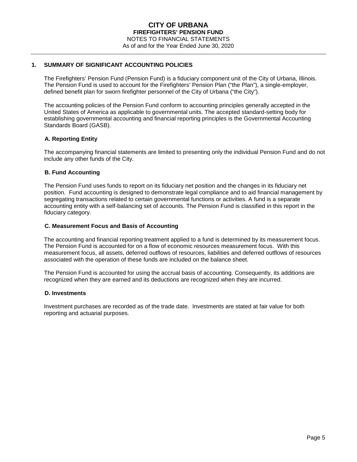### **1. SUMMARY OF SIGNIFICANT ACCOUNTING POLICIES**

The Firefighters' Pension Fund (Pension Fund) is a fiduciary component unit of the City of Urbana, Illinois. The Pension Fund is used to account for the Firefighters' Pension Plan ("the Plan"), a single-employer, defined benefit plan for sworn firefighter personnel of the City of Urbana ("the City").

The accounting policies of the Pension Fund conform to accounting principles generally accepted in the United States of America as applicable to governmental units. The accepted standard-setting body for establishing governmental accounting and financial reporting principles is the Governmental Accounting Standards Board (GASB).

### **A. Reporting Entity**

The accompanying financial statements are limited to presenting only the individual Pension Fund and do not include any other funds of the City.

### **B. Fund Accounting**

The Pension Fund uses funds to report on its fiduciary net position and the changes in its fiduciary net position. Fund accounting is designed to demonstrate legal compliance and to aid financial management by segregating transactions related to certain governmental functions or activities. A fund is a separate accounting entity with a self-balancing set of accounts. The Pension Fund is classified in this report in the fiduciary category.

### **C. Measurement Focus and Basis of Accounting**

The accounting and financial reporting treatment applied to a fund is determined by its measurement focus. The Pension Fund is accounted for on a flow of economic resources measurement focus. With this measurement focus, all assets, deferred outflows of resources, liabilities and deferred outflows of resources associated with the operation of these funds are included on the balance sheet.

The Pension Fund is accounted for using the accrual basis of accounting. Consequently, its additions are recognized when they are earned and its deductions are recognized when they are incurred.

#### **D. Investments**

Investment purchases are recorded as of the trade date. Investments are stated at fair value for both reporting and actuarial purposes.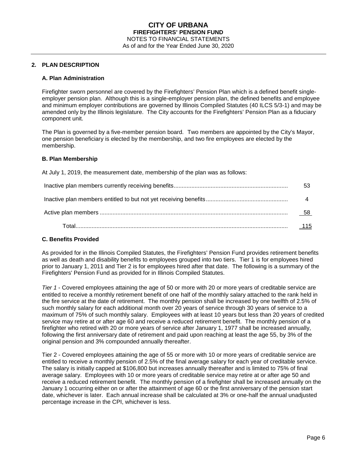### **2. PLAN DESCRIPTION**

#### **A. Plan Administration**

Firefighter sworn personnel are covered by the Firefighters' Pension Plan which is a defined benefit singleemployer pension plan. Although this is a single-employer pension plan, the defined benefits and employee and minimum employer contributions are governed by Illinois Compiled Statutes (40 ILCS 5/3-1) and may be amended only by the Illinois legislature. The City accounts for the Firefighters' Pension Plan as a fiduciary component unit.

The Plan is governed by a five-member pension board. Two members are appointed by the City's Mayor, one pension beneficiary is elected by the membership, and two fire employees are elected by the membership.

#### **B. Plan Membership**

At July 1, 2019, the measurement date, membership of the plan was as follows:

| 53     |
|--------|
|        |
| - 58   |
| $-115$ |

#### **C. Benefits Provided**

As provided for in the Illinois Compiled Statutes, the Firefighters' Pension Fund provides retirement benefits as well as death and disability benefits to employees grouped into two tiers. Tier 1 is for employees hired prior to January 1, 2011 and Tier 2 is for employees hired after that date. The following is a summary of the Firefighters' Pension Fund as provided for in Illinois Compiled Statutes.

*Tier 1* - Covered employees attaining the age of 50 or more with 20 or more years of creditable service are entitled to receive a monthly retirement benefit of one half of the monthly salary attached to the rank held in the fire service at the date of retirement. The monthly pension shall be increased by one twelfth of 2.5% of such monthly salary for each additional month over 20 years of service through 30 years of service to a maximum of 75% of such monthly salary. Employees with at least 10 years but less than 20 years of credited service may retire at or after age 60 and receive a reduced retirement benefit. The monthly pension of a firefighter who retired with 20 or more years of service after January 1, 1977 shall be increased annually, following the first anniversary date of retirement and paid upon reaching at least the age 55, by 3% of the original pension and 3% compounded annually thereafter.

Tier 2 - Covered employees attaining the age of 55 or more with 10 or more years of creditable service are entitled to receive a monthly pension of 2.5% of the final average salary for each year of creditable service. The salary is initially capped at \$106,800 but increases annually thereafter and is limited to 75% of final average salary. Employees with 10 or more years of creditable service may retire at or after age 50 and receive a reduced retirement benefit. The monthly pension of a firefighter shall be increased annually on the January 1 occurring either on or after the attainment of age 60 or the first anniversary of the pension start date, whichever is later. Each annual increase shall be calculated at 3% or one-half the annual unadjusted percentage increase in the CPI, whichever is less.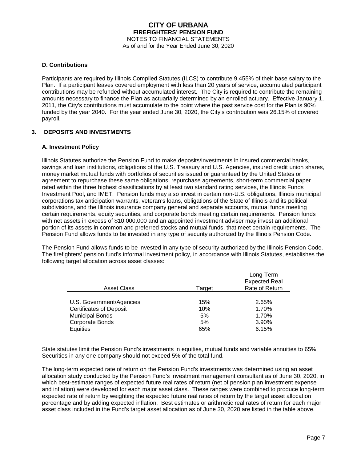### **D. Contributions**

Participants are required by Illinois Compiled Statutes (ILCS) to contribute 9.455% of their base salary to the Plan. If a participant leaves covered employment with less than 20 years of service, accumulated participant contributions may be refunded without accumulated interest. The City is required to contribute the remaining amounts necessary to finance the Plan as actuarially determined by an enrolled actuary. Effective January 1, 2011, the City's contributions must accumulate to the point where the past service cost for the Plan is 90% funded by the year 2040. For the year ended June 30, 2020, the City's contribution was 26.15% of covered payroll.

# **3. DEPOSITS AND INVESTMENTS**

### **A. Investment Policy**

Illinois Statutes authorize the Pension Fund to make deposits/investments in insured commercial banks, savings and loan institutions, obligations of the U.S. Treasury and U.S. Agencies, insured credit union shares, money market mutual funds with portfolios of securities issued or guaranteed by the United States or agreement to repurchase these same obligations, repurchase agreements, short-term commercial paper rated within the three highest classifications by at least two standard rating services, the Illinois Funds Investment Pool, and IMET. Pension funds may also invest in certain non-U.S. obligations, Illinois municipal corporations tax anticipation warrants, veteran's loans, obligations of the State of Illinois and its political subdivisions, and the Illinois insurance company general and separate accounts, mutual funds meeting certain requirements, equity securities, and corporate bonds meeting certain requirements. Pension funds with net assets in excess of \$10,000,000 and an appointed investment adviser may invest an additional portion of its assets in common and preferred stocks and mutual funds, that meet certain requirements. The Pension Fund allows funds to be invested in any type of security authorized by the Illinois Pension Code.

The Pension Fund allows funds to be invested in any type of security authorized by the Illinois Pension Code. The firefighters' pension fund's informal investment policy, in accordance with Illinois Statutes, establishes the following target allocation across asset classes:

| <b>Asset Class</b>             | Target | Long-Term<br><b>Expected Real</b><br>Rate of Return |
|--------------------------------|--------|-----------------------------------------------------|
|                                |        |                                                     |
| U.S. Government/Agencies       | 15%    | 2.65%                                               |
| <b>Certificates of Deposit</b> | 10%    | 1.70%                                               |
| <b>Municipal Bonds</b>         | 5%     | 1.70%                                               |
| Corporate Bonds                | 5%     | 3.90%                                               |
| Equities                       | 65%    | 6.15%                                               |

State statutes limit the Pension Fund's investments in equities, mutual funds and variable annuities to 65%. Securities in any one company should not exceed 5% of the total fund.

The long-term expected rate of return on the Pension Fund's investments was determined using an asset allocation study conducted by the Pension Fund's investment management consultant as of June 30, 2020, in which best-estimate ranges of expected future real rates of return (net of pension plan investment expense and inflation) were developed for each major asset class. These ranges were combined to produce long-term expected rate of return by weighting the expected future real rates of return by the target asset allocation percentage and by adding expected inflation. Best estimates or arithmetic real rates of return for each major asset class included in the Fund's target asset allocation as of June 30, 2020 are listed in the table above.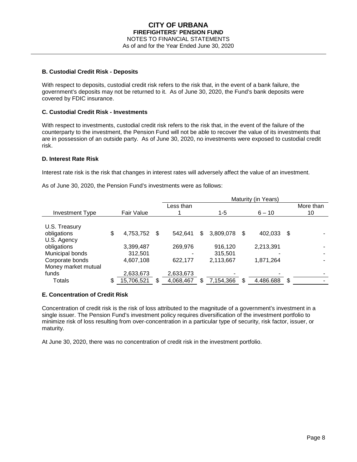### **B. Custodial Credit Risk - Deposits**

With respect to deposits, custodial credit risk refers to the risk that, in the event of a bank failure, the government's deposits may not be returned to it. As of June 30, 2020, the Fund's bank deposits were covered by FDIC insurance.

### **C. Custodial Credit Risk - Investments**

With respect to investments, custodial credit risk refers to the risk that, in the event of the failure of the counterparty to the investment, the Pension Fund will not be able to recover the value of its investments that are in possession of an outside party. As of June 30, 2020, no investments were exposed to custodial credit risk.

#### **D. Interest Rate Risk**

Interest rate risk is the risk that changes in interest rates will adversely affect the value of an investment.

As of June 30, 2020, the Pension Fund's investments were as follows:

|                        |                    | Maturity (in Years) |   |           |    |           |     |           |
|------------------------|--------------------|---------------------|---|-----------|----|-----------|-----|-----------|
|                        |                    | Less than           |   |           |    |           |     | More than |
| <b>Investment Type</b> | Fair Value         |                     |   | $1 - 5$   |    | $6 - 10$  |     | 10        |
| U.S. Treasury          |                    |                     |   |           |    |           |     |           |
| obligations            | \$<br>4,753,752 \$ | 542.641             | S | 3,809,078 | -S | 402,033   | -\$ |           |
| U.S. Agency            |                    |                     |   |           |    |           |     |           |
| obligations            | 3,399,487          | 269,976             |   | 916,120   |    | 2,213,391 |     |           |
| Municipal bonds        | 312,501            |                     |   | 315,501   |    |           |     |           |
| Corporate bonds        | 4,607,108          | 622,177             |   | 2,113,667 |    | 1,871,264 |     |           |
| Money market mutual    |                    |                     |   |           |    |           |     |           |
| funds                  | 2,633,673          | 2,633,673           |   |           |    |           |     |           |
| Totals                 | \$<br>15,706,521   | \$<br>4,068,467     | S | 7,154,366 | \$ | 4.486.688 | \$  |           |

#### **E. Concentration of Credit Risk**

Concentration of credit risk is the risk of loss attributed to the magnitude of a government's investment in a single issuer. The Pension Fund's investment policy requires diversification of the investment portfolio to minimize risk of loss resulting from over-concentration in a particular type of security, risk factor, issuer, or maturity.

At June 30, 2020, there was no concentration of credit risk in the investment portfolio.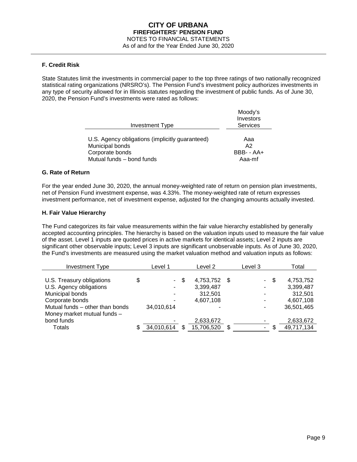# **F. Credit Risk**

State Statutes limit the investments in commercial paper to the top three ratings of two nationally recognized statistical rating organizations (NRSRO's). The Pension Fund's investment policy authorizes investments in any type of security allowed for in Illinois statutes regarding the investment of public funds. As of June 30, 2020, the Pension Fund's investments were rated as follows:

|                                                                                                                    | Moody's<br>Investors                            |
|--------------------------------------------------------------------------------------------------------------------|-------------------------------------------------|
| Investment Type                                                                                                    | <b>Services</b>                                 |
| U.S. Agency obligations (implicitly guaranteed)<br>Municipal bonds<br>Corporate bonds<br>Mutual funds - bond funds | Aaa<br>A <sub>2</sub><br>$BBB - AA +$<br>Aaa-mf |

#### **G. Rate of Return**

For the year ended June 30, 2020, the annual money-weighted rate of return on pension plan investments, net of Pension Fund investment expense, was 4.33%. The money-weighted rate of return expresses investment performance, net of investment expense, adjusted for the changing amounts actually invested.

#### **H. Fair Value Hierarchy**

The Fund categorizes its fair value measurements within the fair value hierarchy established by generally accepted accounting principles. The hierarchy is based on the valuation inputs used to measure the fair value of the asset. Level 1 inputs are quoted prices in active markets for identical assets; Level 2 inputs are significant other observable inputs; Level 3 inputs are significant unobservable inputs. As of June 30, 2020, the Fund's investments are measured using the market valuation method and valuation inputs as follows:

| <b>Investment Type</b>          | Level 1 |            |     |            | Level 2 |                          | Level 3 |            |  | Total |
|---------------------------------|---------|------------|-----|------------|---------|--------------------------|---------|------------|--|-------|
|                                 |         |            |     |            |         |                          |         |            |  |       |
| U.S. Treasury obligations       | \$      | $\sim$     | \$  | 4,753,752  | - \$    | $\sim$                   | -S      | 4,753,752  |  |       |
| U.S. Agency obligations         |         | ۰.         |     | 3,399,487  |         | $\overline{\phantom{a}}$ |         | 3,399,487  |  |       |
| Municipal bonds                 |         |            |     | 312,501    |         | -                        |         | 312,501    |  |       |
| Corporate bonds                 |         |            |     | 4,607,108  |         | ۰                        |         | 4,607,108  |  |       |
| Mutual funds - other than bonds |         | 34,010,614 |     |            |         | $\overline{\phantom{a}}$ |         | 36,501,465 |  |       |
| Money market mutual funds -     |         |            |     |            |         |                          |         |            |  |       |
| bond funds                      |         |            |     | 2,633,672  |         |                          |         | 2,633,672  |  |       |
| <b>Totals</b>                   |         | 34,010,614 | \$. | 15,706,520 | \$      |                          |         | 49,717,134 |  |       |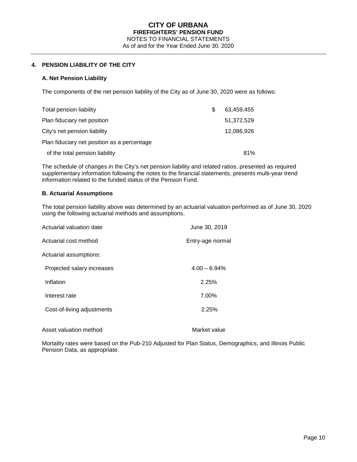# **4. PENSION LIABILITY OF THE CITY**

#### **A. Net Pension Liability**

The components of the net pension liability of the City as of June 30, 2020 were as follows:

| Total pension liability                     | £. | 63.459.455 |
|---------------------------------------------|----|------------|
| Plan fiduciary net position                 |    | 51,372,529 |
| City's net pension liability                |    | 12,086,926 |
| Plan fiduciary net position as a percentage |    |            |
| of the total pension liability              |    | 81%        |

The schedule of changes in the City's net pension liability and related ratios, presented as required supplementary information following the notes to the financial statements, presents multi-year trend information related to the funded status of the Pension Fund.

### **B. Actuarial Assumptions**

The total pension liability above was determined by an actuarial valuation performed as of June 30, 2020 using the following actuarial methods and assumptions.

| Actuarial valuation date   | June 30, 2019    |
|----------------------------|------------------|
| Actuarial cost method      | Entry-age normal |
| Actuarial assumptions:     |                  |
| Projected salary increases | $4.00 - 6.94\%$  |
| Inflation                  | 2.25%            |
| Interest rate              | 7.00%            |
| Cost-of-living adjustments | 2.25%            |
|                            |                  |

Asset valuation method Market value

Mortality rates were based on the Pub-210 Adjusted for Plan Status, Demographics, and Illinois Public Pension Data, as appropriate.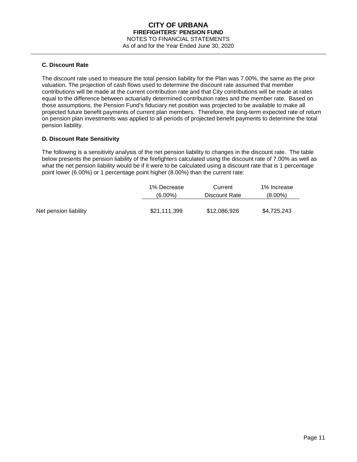### **C. Discount Rate**

The discount rate used to measure the total pension liability for the Plan was 7.00%, the same as the prior valuation. The projection of cash flows used to determine the discount rate assumed that member contributions will be made at the current contribution rate and that City contributions will be made at rates equal to the difference between actuarially determined contribution rates and the member rate. Based on those assumptions, the Pension Fund's fiduciary net position was projected to be available to make all projected future benefit payments of current plan members. Therefore, the long-term expected rate of return on pension plan investments was applied to all periods of projected benefit payments to determine the total pension liability.

# **D. Discount Rate Sensitivity**

The following is a sensitivity analysis of the net pension liability to changes in the discount rate. The table below presents the pension liability of the firefighters calculated using the discount rate of 7.00% as well as what the net pension liability would be if it were to be calculated using a discount rate that is 1 percentage point lower (6.00%) or 1 percentage point higher (8.00%) than the current rate:

|                       | 1% Decrease  | Current       | 1% Increase |
|-----------------------|--------------|---------------|-------------|
|                       | $(6.00\%)$   | Discount Rate | $(8.00\%)$  |
| Net pension liability | \$21,111,399 | \$12,086,926  | \$4,725,243 |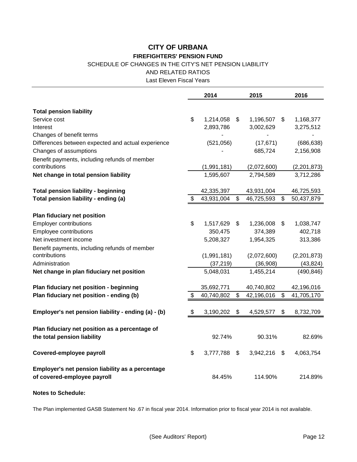# SCHEDULE OF CHANGES IN THE CITY'S NET PENSION LIABILITY

AND RELATED RATIOS

Last Eleven Fiscal Years

|                                                                                 | 2014               | 2015             | 2016             |
|---------------------------------------------------------------------------------|--------------------|------------------|------------------|
| <b>Total pension liability</b>                                                  |                    |                  |                  |
| Service cost                                                                    | \$<br>1,214,058    | \$<br>1,196,507  | \$<br>1,168,377  |
| Interest                                                                        | 2,893,786          | 3,002,629        | 3,275,512        |
| Changes of benefit terms                                                        |                    |                  |                  |
| Differences between expected and actual experience                              | (521, 056)         | (17, 671)        | (686, 638)       |
| Changes of assumptions                                                          |                    | 685,724          | 2,156,908        |
| Benefit payments, including refunds of member                                   |                    |                  |                  |
| contributions                                                                   | (1,991,181)        | (2,072,600)      | (2,201,873)      |
| Net change in total pension liability                                           | 1,595,607          | 2,794,589        | 3,712,286        |
| <b>Total pension liability - beginning</b>                                      | 42,335,397         | 43,931,004       | 46,725,593       |
| Total pension liability - ending (a)                                            | \$<br>43,931,004   | \$<br>46,725,593 | \$<br>50,437,879 |
|                                                                                 |                    |                  |                  |
| Plan fiduciary net position                                                     |                    |                  |                  |
| <b>Employer contributions</b>                                                   | \$<br>1,517,629    | \$<br>1,236,008  | \$<br>1,038,747  |
| Employee contributions                                                          | 350,475            | 374,389          | 402,718          |
| Net investment income                                                           | 5,208,327          | 1,954,325        | 313,386          |
| Benefit payments, including refunds of member                                   |                    |                  |                  |
| contributions                                                                   | (1,991,181)        | (2,072,600)      | (2,201,873)      |
| Administration                                                                  | (37, 219)          | (36,908)         | (43, 824)        |
| Net change in plan fiduciary net position                                       | 5,048,031          | 1,455,214        | (490, 846)       |
| Plan fiduciary net position - beginning                                         | 35,692,771         | 40,740,802       | 42,196,016       |
| Plan fiduciary net position - ending (b)                                        | 40,740,802         | \$<br>42,196,016 | \$<br>41,705,170 |
| Employer's net pension liability - ending (a) - (b)                             | \$<br>3,190,202    | \$<br>4,529,577  | \$<br>8,732,709  |
|                                                                                 |                    |                  |                  |
| Plan fiduciary net position as a percentage of                                  |                    |                  |                  |
| the total pension liability                                                     | 92.74%             | 90.31%           | 82.69%           |
| Covered-employee payroll                                                        | \$<br>3,777,788 \$ | 3,942,216 \$     | 4,063,754        |
| Employer's net pension liability as a percentage<br>of covered-employee payroll | 84.45%             | 114.90%          | 214.89%          |
| <b>Notes to Schedule:</b>                                                       |                    |                  |                  |

The Plan implemented GASB Statement No .67 in fiscal year 2014. Information prior to fiscal year 2014 is not available.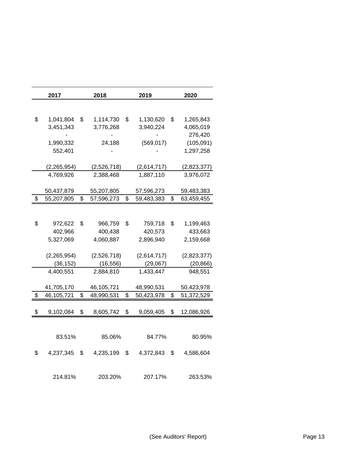| 2017                         | 2018                               |    | 2019                     | 2020                               |  |
|------------------------------|------------------------------------|----|--------------------------|------------------------------------|--|
|                              |                                    |    |                          |                                    |  |
| \$<br>1,041,804<br>3,451,343 | \$<br>1,114,730<br>\$<br>3,776,268 |    | 1,130,620<br>3,940,224   | \$<br>1,265,843<br>4,065,019       |  |
| 1,990,332<br>552,401         | 24,188                             |    | (569, 017)               | 276,420<br>(105, 091)<br>1,297,258 |  |
| (2, 265, 954)<br>4,769,926   | (2,526,718)<br>2,388,468           |    | (2,614,717)<br>1,887,110 | (2,823,377)<br>3,976,072           |  |
| 50,437,879                   | 55,207,805                         |    | 57,596,273               | 59,483,383                         |  |
| \$<br>55,207,805             | \$<br>57,596,273                   | \$ | 59,483,383               | \$<br>63,459,455                   |  |
|                              |                                    |    |                          |                                    |  |
| \$<br>972,622<br>402,966     | \$<br>966,759<br>400,438           | \$ | 759,718<br>420,573       | \$<br>1,199,463<br>433,663         |  |
| 5,327,069                    | 4,060,887                          |    | 2,896,940                | 2,159,668                          |  |
| (2,265,954)                  | (2,526,718)                        |    | (2,614,717)              | (2,823,377)                        |  |
| (36, 152)                    | (16, 556)                          |    | (29, 067)                | (20, 866)                          |  |
| 4,400,551                    | 2,884,810                          |    | 1,433,447                | 948,551                            |  |
| 41,705,170                   | 46,105,721                         |    | 48,990,531               | 50,423,978                         |  |
| \$<br>46,105,721             | \$<br>48,990,531                   | \$ | 50,423,978               | \$<br>51,372,529                   |  |
| \$<br>9,102,084              | \$<br>8,605,742                    | \$ | 9,059,405                | \$<br>12,086,926                   |  |
|                              |                                    |    |                          |                                    |  |
| 83.51%                       | 85.06%                             |    | 84.77%                   | 80.95%                             |  |
| \$<br>4,237,345              | \$<br>4,235,199                    | \$ | 4,372,843                | \$<br>4,586,604                    |  |
| 214.81%                      | 203.20%                            |    | 207.17%                  | 263.53%                            |  |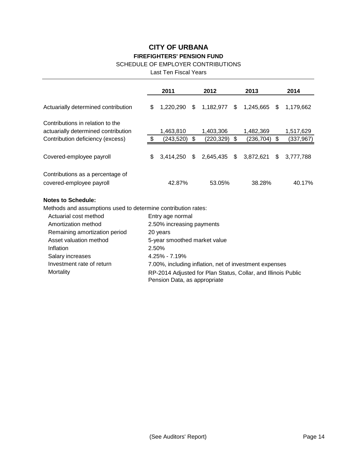# SCHEDULE OF EMPLOYER CONTRIBUTIONS

Last Ten Fiscal Years

|                                                                         | 2011                      |                              |     | 2012                   |    | 2013                                                          | 2014 |                         |  |  |  |
|-------------------------------------------------------------------------|---------------------------|------------------------------|-----|------------------------|----|---------------------------------------------------------------|------|-------------------------|--|--|--|
| Actuarially determined contribution                                     | \$                        | 1,220,290                    | \$  | 1,182,977              | \$ | 1,245,665                                                     | \$   | 1,179,662               |  |  |  |
| Contributions in relation to the                                        |                           |                              |     |                        |    |                                                               |      |                         |  |  |  |
| actuarially determined contribution<br>Contribution deficiency (excess) | \$                        | 1,463,810<br>(243, 520)      | \$  | 1,403,306<br>(220,329) | \$ | 1,482,369<br>(236, 704)                                       | \$   | 1,517,629<br>(337, 967) |  |  |  |
|                                                                         |                           |                              |     |                        |    |                                                               |      |                         |  |  |  |
| Covered-employee payroll                                                | \$                        | 3,414,250                    | \$. | $2,645,435$ \$         |    | 3,872,621                                                     | \$   | 3,777,788               |  |  |  |
| Contributions as a percentage of                                        |                           |                              |     |                        |    |                                                               |      |                         |  |  |  |
| covered-employee payroll                                                |                           | 42.87%                       |     | 53.05%                 |    | 38.28%                                                        |      | 40.17%                  |  |  |  |
| <b>Notes to Schedule:</b>                                               |                           |                              |     |                        |    |                                                               |      |                         |  |  |  |
| Methods and assumptions used to determine contribution rates:           |                           |                              |     |                        |    |                                                               |      |                         |  |  |  |
| Actuarial cost method                                                   | Entry age normal          |                              |     |                        |    |                                                               |      |                         |  |  |  |
| Amortization method                                                     | 2.50% increasing payments |                              |     |                        |    |                                                               |      |                         |  |  |  |
| Remaining amortization period                                           |                           | 20 years                     |     |                        |    |                                                               |      |                         |  |  |  |
| Asset valuation method                                                  |                           | 5-year smoothed market value |     |                        |    |                                                               |      |                         |  |  |  |
| Inflation                                                               | 2.50%                     |                              |     |                        |    |                                                               |      |                         |  |  |  |
| Salary increases                                                        | $4.25\% - 7.19\%$         |                              |     |                        |    |                                                               |      |                         |  |  |  |
| Investment rate of return                                               |                           |                              |     |                        |    | 7.00%, including inflation, net of investment expenses        |      |                         |  |  |  |
| Mortality                                                               |                           |                              |     |                        |    | RP-2014 Adjusted for Plan Status, Collar, and Illinois Public |      |                         |  |  |  |

Pension Data, as appropriate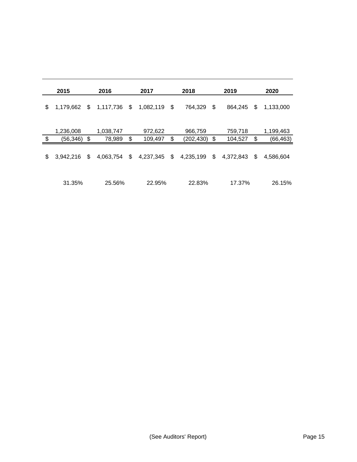| 2015                        |    | 2016                | 2017                     | 2018                        | 2019                     | 2020                         |
|-----------------------------|----|---------------------|--------------------------|-----------------------------|--------------------------|------------------------------|
| \$<br>1,179,662             | S. | 1,117,736           | \$<br>1,082,119          | \$<br>764,329               | \$<br>864,245            | \$<br>1,133,000              |
| \$<br>1,236,008<br>(56,346) | \$ | 1,038,747<br>78,989 | \$<br>972,622<br>109,497 | \$<br>966,759<br>(202, 430) | \$<br>759,718<br>104,527 | \$<br>1,199,463<br>(66, 463) |
| \$<br>3,942,216             | \$ | 4,063,754           | \$<br>4,237,345          | \$<br>4,235,199             | \$<br>4,372,843          | \$<br>4,586,604              |
| 31.35%                      |    | 25.56%              | 22.95%                   | 22.83%                      | 17.37%                   | 26.15%                       |